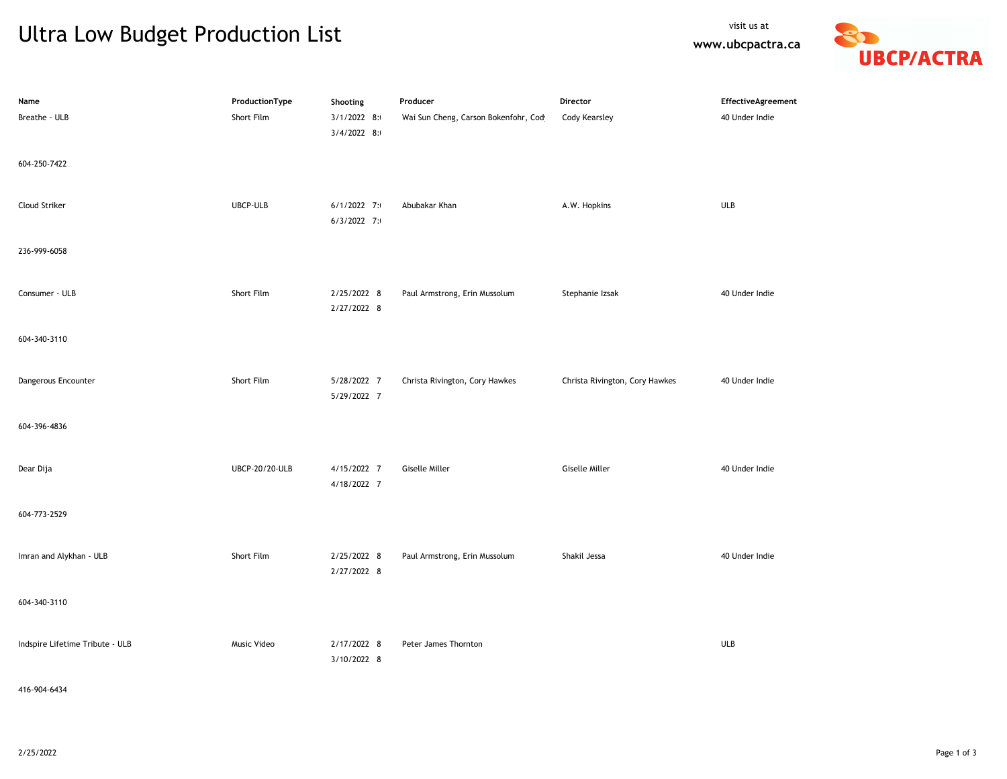## Ultra Low Budget Production List

**www.ubcpactra.ca**



| Name                            | ProductionType | Shooting                   | Producer                             | Director                       | EffectiveAgreement |
|---------------------------------|----------------|----------------------------|--------------------------------------|--------------------------------|--------------------|
| Breathe - ULB                   | Short Film     | 3/1/2022 8:                | Wai Sun Cheng, Carson Bokenfohr, Cod | <b>Cody Kearsley</b>           | 40 Under Indie     |
|                                 |                | 3/4/2022 8:                |                                      |                                |                    |
| 604-250-7422                    |                |                            |                                      |                                |                    |
|                                 |                |                            |                                      |                                |                    |
| Cloud Striker                   | UBCP-ULB       | $6/1/2022$ 7:              | Abubakar Khan                        | A.W. Hopkins                   | <b>ULB</b>         |
|                                 |                | $6/3/2022$ 7:              |                                      |                                |                    |
|                                 |                |                            |                                      |                                |                    |
| 236-999-6058                    |                |                            |                                      |                                |                    |
|                                 |                |                            |                                      |                                |                    |
| Consumer - ULB                  | Short Film     | 2/25/2022 8                | Paul Armstrong, Erin Mussolum        | Stephanie Izsak                | 40 Under Indie     |
|                                 |                | 2/27/2022 8                |                                      |                                |                    |
| 604-340-3110                    |                |                            |                                      |                                |                    |
|                                 |                |                            |                                      |                                |                    |
|                                 |                |                            |                                      |                                |                    |
| Dangerous Encounter             | Short Film     | 5/28/2022 7<br>5/29/2022 7 | Christa Rivington, Cory Hawkes       | Christa Rivington, Cory Hawkes | 40 Under Indie     |
|                                 |                |                            |                                      |                                |                    |
| 604-396-4836                    |                |                            |                                      |                                |                    |
|                                 |                |                            |                                      |                                |                    |
| Dear Dija                       | UBCP-20/20-ULB | 4/15/2022 7                | <b>Giselle Miller</b>                | <b>Giselle Miller</b>          | 40 Under Indie     |
|                                 |                | 4/18/2022 7                |                                      |                                |                    |
|                                 |                |                            |                                      |                                |                    |
| 604-773-2529                    |                |                            |                                      |                                |                    |
|                                 |                |                            |                                      |                                |                    |
| Imran and Alykhan - ULB         | Short Film     | 2/25/2022 8                | Paul Armstrong, Erin Mussolum        | Shakil Jessa                   | 40 Under Indie     |
|                                 |                | 2/27/2022 8                |                                      |                                |                    |
| 604-340-3110                    |                |                            |                                      |                                |                    |
|                                 |                |                            |                                      |                                |                    |
| Indspire Lifetime Tribute - ULB | Music Video    | 2/17/2022 8                | Peter James Thornton                 |                                | <b>ULB</b>         |
|                                 |                | 3/10/2022 8                |                                      |                                |                    |
|                                 |                |                            |                                      |                                |                    |

416-904-6434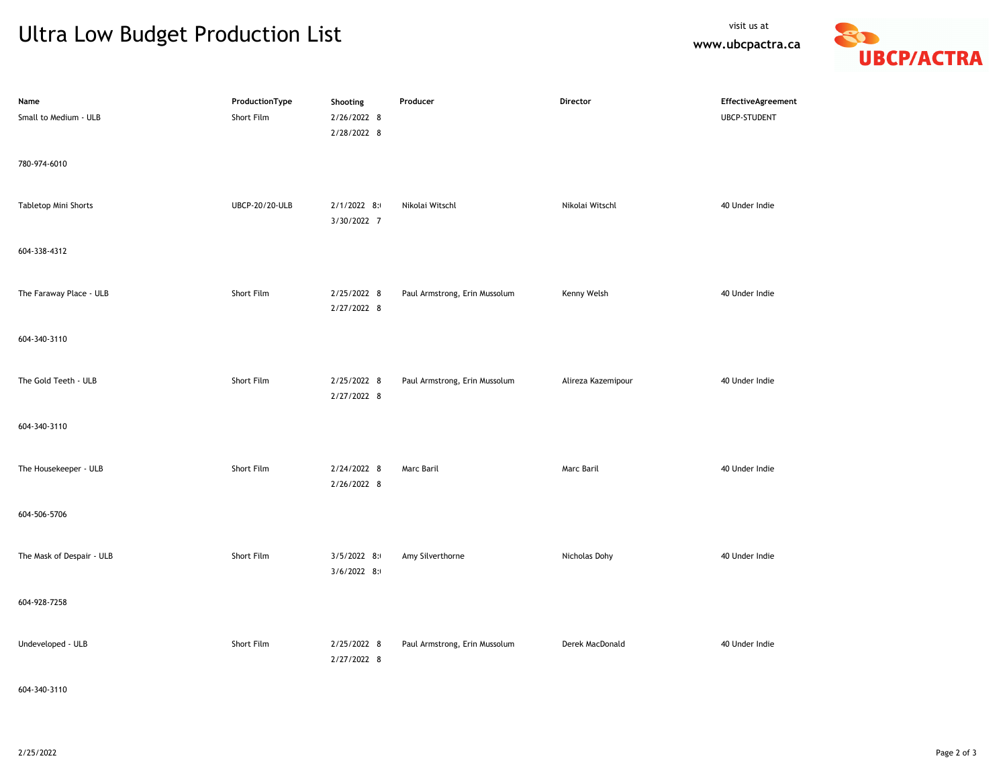## Ultra Low Budget Production List

**www.ubcpactra.ca**



| Name<br>Small to Medium - ULB        | ProductionType<br>Short Film | Shooting<br>2/26/2022 8<br>2/28/2022 8 | Producer                      | Director           | EffectiveAgreement<br><b>UBCP-STUDENT</b> |
|--------------------------------------|------------------------------|----------------------------------------|-------------------------------|--------------------|-------------------------------------------|
| 780-974-6010<br>Tabletop Mini Shorts | UBCP-20/20-ULB               | 2/1/2022 8:<br>3/30/2022 7             | Nikolai Witschl               | Nikolai Witschl    | 40 Under Indie                            |
| 604-338-4312                         |                              |                                        |                               |                    |                                           |
| The Faraway Place - ULB              | Short Film                   | 2/25/2022 8<br>2/27/2022 8             | Paul Armstrong, Erin Mussolum | Kenny Welsh        | 40 Under Indie                            |
| 604-340-3110                         |                              |                                        |                               |                    |                                           |
| The Gold Teeth - ULB                 | Short Film                   | 2/25/2022 8<br>2/27/2022 8             | Paul Armstrong, Erin Mussolum | Alireza Kazemipour | 40 Under Indie                            |
| 604-340-3110                         |                              |                                        |                               |                    |                                           |
| The Housekeeper - ULB                | Short Film                   | 2/24/2022 8<br>2/26/2022 8             | Marc Baril                    | Marc Baril         | 40 Under Indie                            |
| 604-506-5706                         |                              |                                        |                               |                    |                                           |
| The Mask of Despair - ULB            | Short Film                   | $3/5/2022$ 8:<br>3/6/2022 8:           | Amy Silverthorne              | Nicholas Dohy      | 40 Under Indie                            |
| 604-928-7258                         |                              |                                        |                               |                    |                                           |
| Undeveloped - ULB                    | Short Film                   | 2/25/2022 8<br>2/27/2022 8             | Paul Armstrong, Erin Mussolum | Derek MacDonald    | 40 Under Indie                            |

604-340-3110